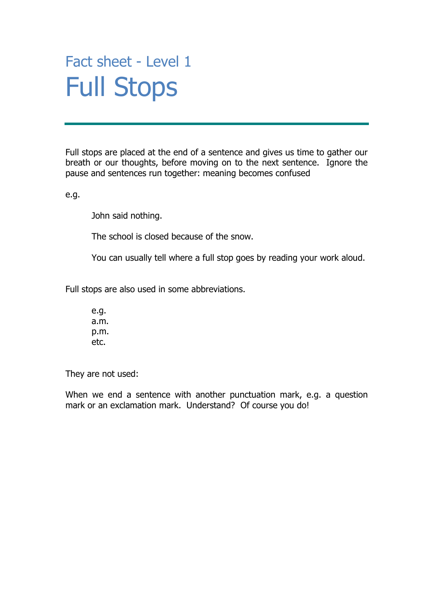### Fact sheet - Level 1 Full Stops

Full stops are placed at the end of a sentence and gives us time to gather our breath or our thoughts, before moving on to the next sentence. Ignore the pause and sentences run together: meaning becomes confused

e.g.

John said nothing.

The school is closed because of the snow.

You can usually tell where a full stop goes by reading your work aloud.

Full stops are also used in some abbreviations.

e.g. a.m. p.m. etc.

They are not used:

When we end a sentence with another punctuation mark, e.g. a question mark or an exclamation mark. Understand? Of course you do!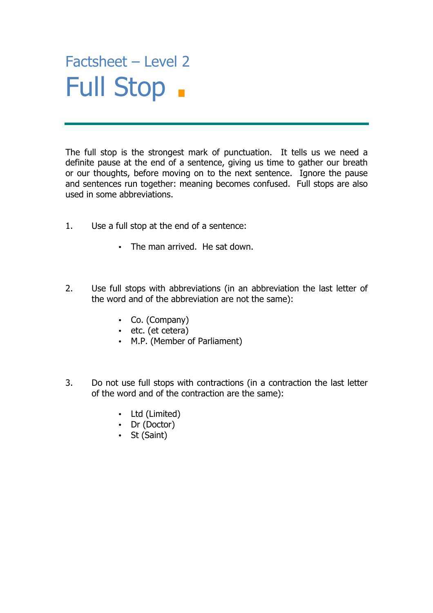#### $\frac{1}{2}$ Factsheet – Level 2 Full Stop

The full stop is the strongest mark of punctuation. It tells us we need a definite pause at the end of a sentence, giving us time to gather our breath or our thoughts, before moving on to the next sentence. Ignore the pause and sentences run together: meaning becomes confused. Full stops are also used in some abbreviations.

- 1. Use a full stop at the end of a sentence:
	- The man arrived. He sat down.
- 2. Use full stops with abbreviations (in an abbreviation the last letter of the word and of the abbreviation are not the same):
	- Co. (Company)
	- etc. (et cetera)
	- M.P. (Member of Parliament)
- 3. Do not use full stops with contractions (in a contraction the last letter of the word and of the contraction are the same):
	- Ltd (Limited)
	- Dr (Doctor)
	- St (Saint)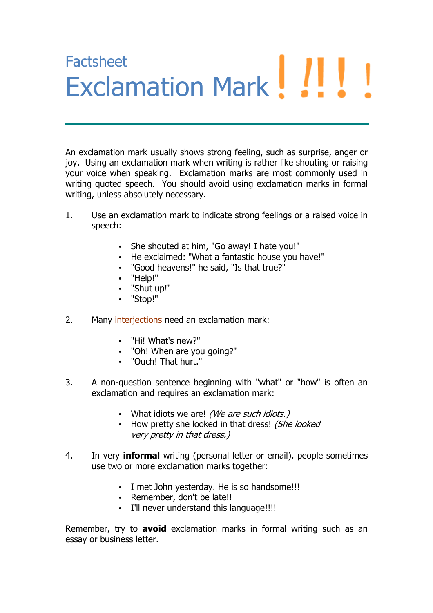# **Factsheet** Exclamation Mark

An exclamation mark usually shows strong feeling, such as surprise, anger or joy. Using an exclamation mark when writing is rather like shouting or raising your voice when speaking. Exclamation marks are most commonly used in writing quoted speech. You should avoid using exclamation marks in formal writing, unless absolutely necessary.

- 1. Use an exclamation mark to indicate strong feelings or a raised voice in speech:
	- She shouted at him, "Go away! I hate you!"
	- He exclaimed: "What a fantastic house you have!"
	- "Good heavens!" he said, "Is that true?"
	- "Help!"
	- "Shut up!"
	- "Stop!"
- 2. Many interjections need an exclamation mark:
	- "Hi! What's new?"
	- "Oh! When are you going?"
	- "Ouch! That hurt."
- 3. A non-question sentence beginning with "what" or "how" is often an exclamation and requires an exclamation mark:
	- What idiots we are! (We are such idiots.)
	- How pretty she looked in that dress! (She looked very pretty in that dress.)
- 4. In very **informal** writing (personal letter or email), people sometimes use two or more exclamation marks together:
	- I met John yesterday. He is so handsome!!!
	- Remember, don't be late!!
	- I'll never understand this language!!!!

Remember, try to **avoid** exclamation marks in formal writing such as an essay or business letter.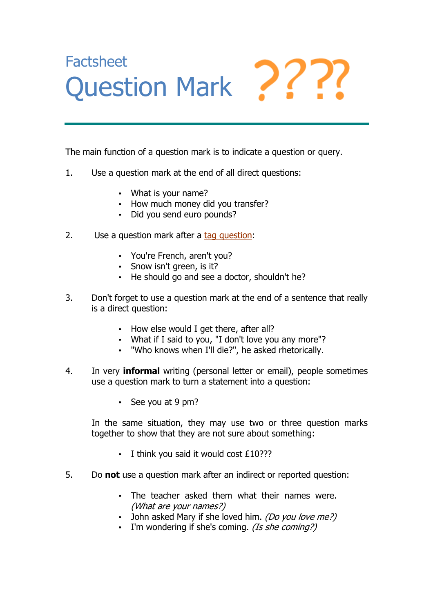## **Factsheet** Question Mark

The main function of a question mark is to indicate a question or query.

- 1. Use a question mark at the end of all direct questions:
	- What is your name?
	- How much money did you transfer?
	- Did you send euro pounds?
- 2. Use a question mark after a tag question:
	- You're French, aren't you?
	- Snow isn't green, is it?
	- He should go and see a doctor, shouldn't he?
- 3. Don't forget to use a question mark at the end of a sentence that really is a direct question:
	- How else would I get there, after all?
	- What if I said to you, "I don't love you any more"?
	- "Who knows when I'll die?", he asked rhetorically.
- 4. In very **informal** writing (personal letter or email), people sometimes use a question mark to turn a statement into a question:
	- See you at 9 pm?

In the same situation, they may use two or three question marks together to show that they are not sure about something:

- I think you said it would cost £10???
- 5. Do **not** use a question mark after an indirect or reported question:
	- The teacher asked them what their names were. (What are your names?)
	- John asked Mary if she loved him. (Do you love me?)
	- I'm wondering if she's coming. *(Is she coming?)*